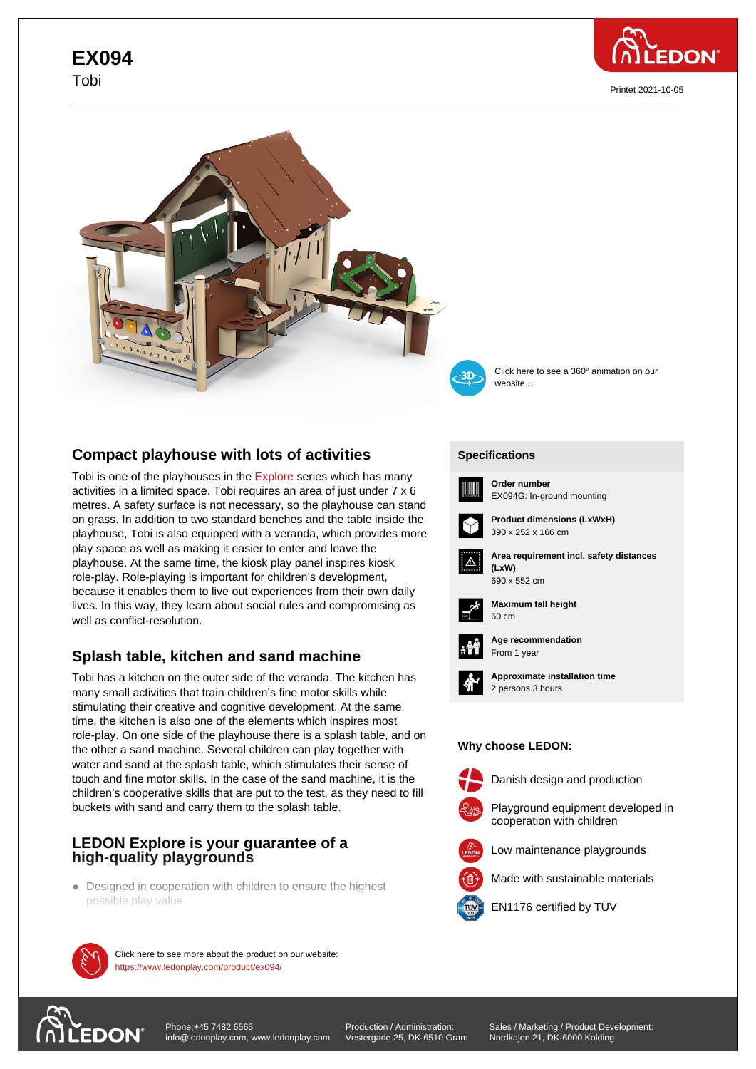# **EX094** Tobi



Printet 2021-10-05





Click here to see a 360° animation on our website ...

# **Compact playhouse with lots of activities**

Tobi is one of the playhouses in the Explore series which has many activities in a limited space. Tobi requires an area of just under 7 x 6 metres. A safety surface is not necessary, so the playhouse can stand on grass. In addition to two standard benches and the table inside the playhouse, Tobi is also equipped wi[th a vera](https://www.ledonplay.com/explore/)nda, which provides more play space as well as making it easier to enter and leave the playhouse. At the same time, the kiosk play panel inspires kiosk role-play. Role-playing is important for children's development, because it enables them to live out experiences from their own daily lives. In this way, they learn about social rules and compromising as well as conflict-resolution.

# **Splash table, kitchen and sand machine**

Tobi has a kitchen on the outer side of the veranda. The kitchen has many small activities that train children's fine motor skills while stimulating their creative and cognitive development. At the same time, the kitchen is also one of the elements which inspires most role-play. On one side of the playhouse there is a splash table, and on the other a sand machine. Several children can play together with water and sand at the splash table, which stimulates their sense of touch and fine motor skills. In the case of the sand machine, it is the children's cooperative skills that are put to the test, as they need to fill buckets with sand and carry them to the splash table.

### **LEDON Explore is your guarantee of a high-quality playgrounds**

Designed in cooperation with children to ensure the highest possible play value.



**100% Danish-product on our website:** https://www.ledonplay.com/product/ex094/

### **[Specific](https://www.ledonplay.com/product/ex094/)ations [Speci](https://www.ledonplay.com/product/ex094/)fications**



**Order number** EX094G: In-ground mounting



**Product dimensions (LxWxH)** 390 x 252 x 166 cm



**Area requirement incl. safety distances (LxW) (LxW)** 690 x 552 cm



**Maximum fall height** 60 cm 60 cm



**Age recommendation** From 1 year



**Approximate installation time** 2 persons 3 hours

#### **Why choose LEDON: Why choose LEDON:**



Danish design and production



Low maintenance playgrounds

Made with sustainable materials



EN1176 certified by TÜV



with the latest standard EN 1176.

Production / Administration: Vestergade 25, DK-6510 Gram Sales / Marketing / Product Development: Nordkajen 21, DK-6000 Kolding